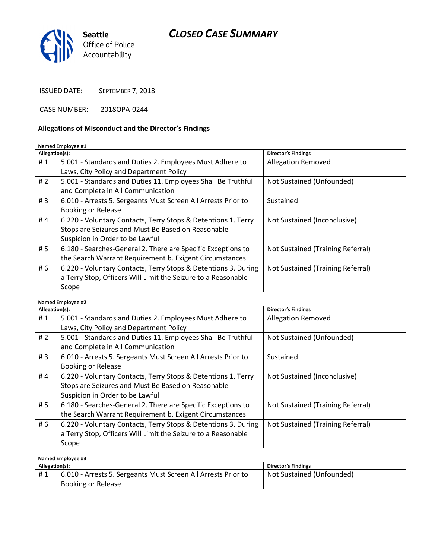# CLOSED CASE SUMMARY



ISSUED DATE: SEPTEMBER 7, 2018

CASE NUMBER: 2018OPA-0244

#### Allegations of Misconduct and the Director's Findings

#### Named Employee #1

| Allegation(s): |                                                                | <b>Director's Findings</b>        |
|----------------|----------------------------------------------------------------|-----------------------------------|
| #1             | 5.001 - Standards and Duties 2. Employees Must Adhere to       | <b>Allegation Removed</b>         |
|                | Laws, City Policy and Department Policy                        |                                   |
| #2             | 5.001 - Standards and Duties 11. Employees Shall Be Truthful   | Not Sustained (Unfounded)         |
|                | and Complete in All Communication                              |                                   |
| #3             | 6.010 - Arrests 5. Sergeants Must Screen All Arrests Prior to  | Sustained                         |
|                | <b>Booking or Release</b>                                      |                                   |
| #4             | 6.220 - Voluntary Contacts, Terry Stops & Detentions 1. Terry  | Not Sustained (Inconclusive)      |
|                | Stops are Seizures and Must Be Based on Reasonable             |                                   |
|                | Suspicion in Order to be Lawful                                |                                   |
| #5             | 6.180 - Searches-General 2. There are Specific Exceptions to   | Not Sustained (Training Referral) |
|                | the Search Warrant Requirement b. Exigent Circumstances        |                                   |
| # 6            | 6.220 - Voluntary Contacts, Terry Stops & Detentions 3. During | Not Sustained (Training Referral) |
|                | a Terry Stop, Officers Will Limit the Seizure to a Reasonable  |                                   |
|                | Scope                                                          |                                   |

| Named Employee #2 |                                                                |                                   |  |
|-------------------|----------------------------------------------------------------|-----------------------------------|--|
| Allegation(s):    |                                                                | <b>Director's Findings</b>        |  |
| #1                | 5.001 - Standards and Duties 2. Employees Must Adhere to       | <b>Allegation Removed</b>         |  |
|                   | Laws, City Policy and Department Policy                        |                                   |  |
| #2                | 5.001 - Standards and Duties 11. Employees Shall Be Truthful   | Not Sustained (Unfounded)         |  |
|                   | and Complete in All Communication                              |                                   |  |
| #3                | 6.010 - Arrests 5. Sergeants Must Screen All Arrests Prior to  | Sustained                         |  |
|                   | <b>Booking or Release</b>                                      |                                   |  |
| #4                | 6.220 - Voluntary Contacts, Terry Stops & Detentions 1. Terry  | Not Sustained (Inconclusive)      |  |
|                   | Stops are Seizures and Must Be Based on Reasonable             |                                   |  |
|                   | Suspicion in Order to be Lawful                                |                                   |  |
| # 5               | 6.180 - Searches-General 2. There are Specific Exceptions to   | Not Sustained (Training Referral) |  |
|                   | the Search Warrant Requirement b. Exigent Circumstances        |                                   |  |
| # 6               | 6.220 - Voluntary Contacts, Terry Stops & Detentions 3. During | Not Sustained (Training Referral) |  |
|                   | a Terry Stop, Officers Will Limit the Seizure to a Reasonable  |                                   |  |
|                   | Scope                                                          |                                   |  |

Named Employee #3 Allegation(s): Director's Findings # 1 | 6.010 - Arrests 5. Sergeants Must Screen All Arrests Prior to Booking or Release Not Sustained (Unfounded)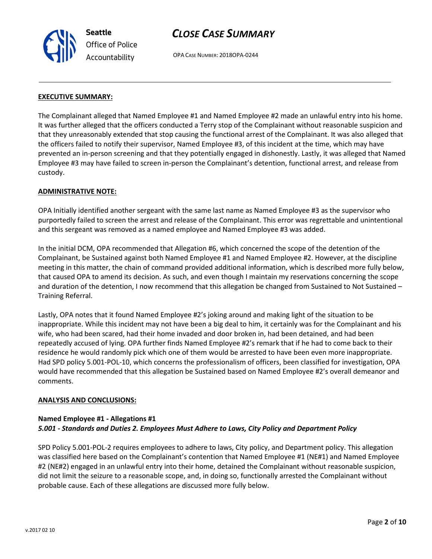Seattle Office of Police Accountability

# CLOSE CASE SUMMARY

OPA CASE NUMBER: 2018OPA-0244

### EXECUTIVE SUMMARY:

The Complainant alleged that Named Employee #1 and Named Employee #2 made an unlawful entry into his home. It was further alleged that the officers conducted a Terry stop of the Complainant without reasonable suspicion and that they unreasonably extended that stop causing the functional arrest of the Complainant. It was also alleged that the officers failed to notify their supervisor, Named Employee #3, of this incident at the time, which may have prevented an in-person screening and that they potentially engaged in dishonestly. Lastly, it was alleged that Named Employee #3 may have failed to screen in-person the Complainant's detention, functional arrest, and release from custody.

### ADMINISTRATIVE NOTE:

OPA Initially identified another sergeant with the same last name as Named Employee #3 as the supervisor who purportedly failed to screen the arrest and release of the Complainant. This error was regrettable and unintentional and this sergeant was removed as a named employee and Named Employee #3 was added.

In the initial DCM, OPA recommended that Allegation #6, which concerned the scope of the detention of the Complainant, be Sustained against both Named Employee #1 and Named Employee #2. However, at the discipline meeting in this matter, the chain of command provided additional information, which is described more fully below, that caused OPA to amend its decision. As such, and even though I maintain my reservations concerning the scope and duration of the detention, I now recommend that this allegation be changed from Sustained to Not Sustained – Training Referral.

Lastly, OPA notes that it found Named Employee #2's joking around and making light of the situation to be inappropriate. While this incident may not have been a big deal to him, it certainly was for the Complainant and his wife, who had been scared, had their home invaded and door broken in, had been detained, and had been repeatedly accused of lying. OPA further finds Named Employee #2's remark that if he had to come back to their residence he would randomly pick which one of them would be arrested to have been even more inappropriate. Had SPD policy 5.001-POL-10, which concerns the professionalism of officers, been classified for investigation, OPA would have recommended that this allegation be Sustained based on Named Employee #2's overall demeanor and comments.

### ANALYSIS AND CONCLUSIONS:

## Named Employee #1 - Allegations #1 5.001 - Standards and Duties 2. Employees Must Adhere to Laws, City Policy and Department Policy

SPD Policy 5.001-POL-2 requires employees to adhere to laws, City policy, and Department policy. This allegation was classified here based on the Complainant's contention that Named Employee #1 (NE#1) and Named Employee #2 (NE#2) engaged in an unlawful entry into their home, detained the Complainant without reasonable suspicion, did not limit the seizure to a reasonable scope, and, in doing so, functionally arrested the Complainant without probable cause. Each of these allegations are discussed more fully below.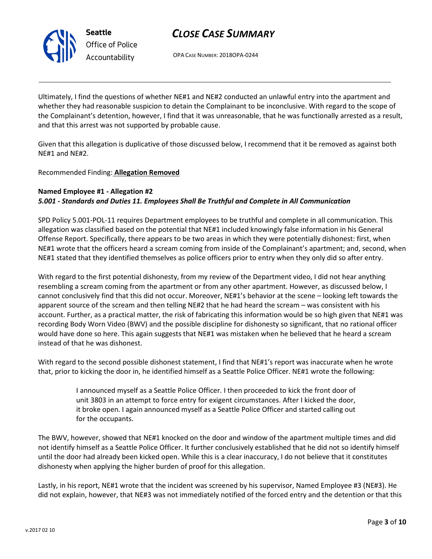



OPA CASE NUMBER: 2018OPA-0244

Ultimately, I find the questions of whether NE#1 and NE#2 conducted an unlawful entry into the apartment and whether they had reasonable suspicion to detain the Complainant to be inconclusive. With regard to the scope of the Complainant's detention, however, I find that it was unreasonable, that he was functionally arrested as a result, and that this arrest was not supported by probable cause.

Given that this allegation is duplicative of those discussed below, I recommend that it be removed as against both NE#1 and NE#2.

### Recommended Finding: Allegation Removed

### Named Employee #1 - Allegation #2 5.001 - Standards and Duties 11. Employees Shall Be Truthful and Complete in All Communication

SPD Policy 5.001-POL-11 requires Department employees to be truthful and complete in all communication. This allegation was classified based on the potential that NE#1 included knowingly false information in his General Offense Report. Specifically, there appears to be two areas in which they were potentially dishonest: first, when NE#1 wrote that the officers heard a scream coming from inside of the Complainant's apartment; and, second, when NE#1 stated that they identified themselves as police officers prior to entry when they only did so after entry.

With regard to the first potential dishonesty, from my review of the Department video, I did not hear anything resembling a scream coming from the apartment or from any other apartment. However, as discussed below, I cannot conclusively find that this did not occur. Moreover, NE#1's behavior at the scene – looking left towards the apparent source of the scream and then telling NE#2 that he had heard the scream – was consistent with his account. Further, as a practical matter, the risk of fabricating this information would be so high given that NE#1 was recording Body Worn Video (BWV) and the possible discipline for dishonesty so significant, that no rational officer would have done so here. This again suggests that NE#1 was mistaken when he believed that he heard a scream instead of that he was dishonest.

With regard to the second possible dishonest statement, I find that NE#1's report was inaccurate when he wrote that, prior to kicking the door in, he identified himself as a Seattle Police Officer. NE#1 wrote the following:

> I announced myself as a Seattle Police Officer. I then proceeded to kick the front door of unit 3803 in an attempt to force entry for exigent circumstances. After I kicked the door, it broke open. I again announced myself as a Seattle Police Officer and started calling out for the occupants.

The BWV, however, showed that NE#1 knocked on the door and window of the apartment multiple times and did not identify himself as a Seattle Police Officer. It further conclusively established that he did not so identify himself until the door had already been kicked open. While this is a clear inaccuracy, I do not believe that it constitutes dishonesty when applying the higher burden of proof for this allegation.

Lastly, in his report, NE#1 wrote that the incident was screened by his supervisor, Named Employee #3 (NE#3). He did not explain, however, that NE#3 was not immediately notified of the forced entry and the detention or that this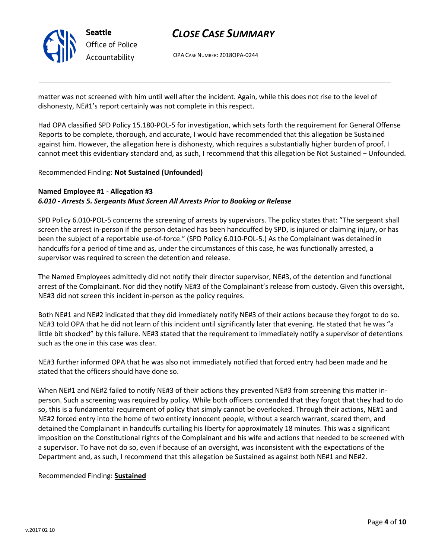

# CLOSE CASE SUMMARY

OPA CASE NUMBER: 2018OPA-0244

matter was not screened with him until well after the incident. Again, while this does not rise to the level of dishonesty, NE#1's report certainly was not complete in this respect.

Had OPA classified SPD Policy 15.180-POL-5 for investigation, which sets forth the requirement for General Offense Reports to be complete, thorough, and accurate, I would have recommended that this allegation be Sustained against him. However, the allegation here is dishonesty, which requires a substantially higher burden of proof. I cannot meet this evidentiary standard and, as such, I recommend that this allegation be Not Sustained – Unfounded.

#### Recommended Finding: Not Sustained (Unfounded)

#### Named Employee #1 - Allegation #3 6.010 - Arrests 5. Sergeants Must Screen All Arrests Prior to Booking or Release

SPD Policy 6.010-POL-5 concerns the screening of arrests by supervisors. The policy states that: "The sergeant shall screen the arrest in-person if the person detained has been handcuffed by SPD, is injured or claiming injury, or has been the subject of a reportable use-of-force." (SPD Policy 6.010-POL-5.) As the Complainant was detained in handcuffs for a period of time and as, under the circumstances of this case, he was functionally arrested, a supervisor was required to screen the detention and release.

The Named Employees admittedly did not notify their director supervisor, NE#3, of the detention and functional arrest of the Complainant. Nor did they notify NE#3 of the Complainant's release from custody. Given this oversight, NE#3 did not screen this incident in-person as the policy requires.

Both NE#1 and NE#2 indicated that they did immediately notify NE#3 of their actions because they forgot to do so. NE#3 told OPA that he did not learn of this incident until significantly later that evening. He stated that he was "a little bit shocked" by this failure. NE#3 stated that the requirement to immediately notify a supervisor of detentions such as the one in this case was clear.

NE#3 further informed OPA that he was also not immediately notified that forced entry had been made and he stated that the officers should have done so.

When NE#1 and NE#2 failed to notify NE#3 of their actions they prevented NE#3 from screening this matter inperson. Such a screening was required by policy. While both officers contended that they forgot that they had to do so, this is a fundamental requirement of policy that simply cannot be overlooked. Through their actions, NE#1 and NE#2 forced entry into the home of two entirety innocent people, without a search warrant, scared them, and detained the Complainant in handcuffs curtailing his liberty for approximately 18 minutes. This was a significant imposition on the Constitutional rights of the Complainant and his wife and actions that needed to be screened with a supervisor. To have not do so, even if because of an oversight, was inconsistent with the expectations of the Department and, as such, I recommend that this allegation be Sustained as against both NE#1 and NE#2.

#### Recommended Finding: Sustained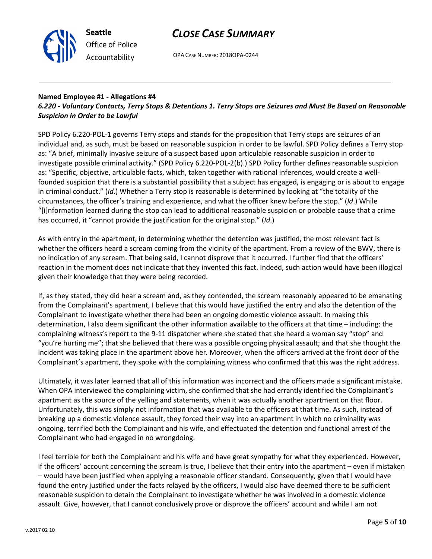



OPA CASE NUMBER: 2018OPA-0244

### Named Employee #1 - Allegations #4 6.220 - Voluntary Contacts, Terry Stops & Detentions 1. Terry Stops are Seizures and Must Be Based on Reasonable Suspicion in Order to be Lawful

SPD Policy 6.220-POL-1 governs Terry stops and stands for the proposition that Terry stops are seizures of an individual and, as such, must be based on reasonable suspicion in order to be lawful. SPD Policy defines a Terry stop as: "A brief, minimally invasive seizure of a suspect based upon articulable reasonable suspicion in order to investigate possible criminal activity." (SPD Policy 6.220-POL-2(b).) SPD Policy further defines reasonable suspicion as: "Specific, objective, articulable facts, which, taken together with rational inferences, would create a wellfounded suspicion that there is a substantial possibility that a subject has engaged, is engaging or is about to engage in criminal conduct." (Id.) Whether a Terry stop is reasonable is determined by looking at "the totality of the circumstances, the officer's training and experience, and what the officer knew before the stop." (Id.) While "[i]nformation learned during the stop can lead to additional reasonable suspicion or probable cause that a crime has occurred, it "cannot provide the justification for the original stop." (Id.)

As with entry in the apartment, in determining whether the detention was justified, the most relevant fact is whether the officers heard a scream coming from the vicinity of the apartment. From a review of the BWV, there is no indication of any scream. That being said, I cannot disprove that it occurred. I further find that the officers' reaction in the moment does not indicate that they invented this fact. Indeed, such action would have been illogical given their knowledge that they were being recorded.

If, as they stated, they did hear a scream and, as they contended, the scream reasonably appeared to be emanating from the Complainant's apartment, I believe that this would have justified the entry and also the detention of the Complainant to investigate whether there had been an ongoing domestic violence assault. In making this determination, I also deem significant the other information available to the officers at that time – including: the complaining witness's report to the 9-11 dispatcher where she stated that she heard a woman say "stop" and "you're hurting me"; that she believed that there was a possible ongoing physical assault; and that she thought the incident was taking place in the apartment above her. Moreover, when the officers arrived at the front door of the Complainant's apartment, they spoke with the complaining witness who confirmed that this was the right address.

Ultimately, it was later learned that all of this information was incorrect and the officers made a significant mistake. When OPA interviewed the complaining victim, she confirmed that she had errantly identified the Complainant's apartment as the source of the yelling and statements, when it was actually another apartment on that floor. Unfortunately, this was simply not information that was available to the officers at that time. As such, instead of breaking up a domestic violence assault, they forced their way into an apartment in which no criminality was ongoing, terrified both the Complainant and his wife, and effectuated the detention and functional arrest of the Complainant who had engaged in no wrongdoing.

I feel terrible for both the Complainant and his wife and have great sympathy for what they experienced. However, if the officers' account concerning the scream is true, I believe that their entry into the apartment – even if mistaken – would have been justified when applying a reasonable officer standard. Consequently, given that I would have found the entry justified under the facts relayed by the officers, I would also have deemed there to be sufficient reasonable suspicion to detain the Complainant to investigate whether he was involved in a domestic violence assault. Give, however, that I cannot conclusively prove or disprove the officers' account and while I am not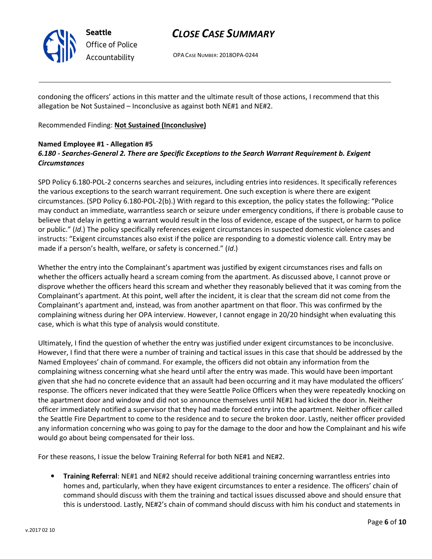

Seattle Office of Police Accountability

# CLOSE CASE SUMMARY

OPA CASE NUMBER: 2018OPA-0244

condoning the officers' actions in this matter and the ultimate result of those actions, I recommend that this allegation be Not Sustained – Inconclusive as against both NE#1 and NE#2.

Recommended Finding: Not Sustained (Inconclusive)

### Named Employee #1 - Allegation #5 6.180 - Searches-General 2. There are Specific Exceptions to the Search Warrant Requirement b. Exigent **Circumstances**

SPD Policy 6.180-POL-2 concerns searches and seizures, including entries into residences. It specifically references the various exceptions to the search warrant requirement. One such exception is where there are exigent circumstances. (SPD Policy 6.180-POL-2(b).) With regard to this exception, the policy states the following: "Police may conduct an immediate, warrantless search or seizure under emergency conditions, if there is probable cause to believe that delay in getting a warrant would result in the loss of evidence, escape of the suspect, or harm to police or public." (Id.) The policy specifically references exigent circumstances in suspected domestic violence cases and instructs: "Exigent circumstances also exist if the police are responding to a domestic violence call. Entry may be made if a person's health, welfare, or safety is concerned." (Id.)

Whether the entry into the Complainant's apartment was justified by exigent circumstances rises and falls on whether the officers actually heard a scream coming from the apartment. As discussed above, I cannot prove or disprove whether the officers heard this scream and whether they reasonably believed that it was coming from the Complainant's apartment. At this point, well after the incident, it is clear that the scream did not come from the Complainant's apartment and, instead, was from another apartment on that floor. This was confirmed by the complaining witness during her OPA interview. However, I cannot engage in 20/20 hindsight when evaluating this case, which is what this type of analysis would constitute.

Ultimately, I find the question of whether the entry was justified under exigent circumstances to be inconclusive. However, I find that there were a number of training and tactical issues in this case that should be addressed by the Named Employees' chain of command. For example, the officers did not obtain any information from the complaining witness concerning what she heard until after the entry was made. This would have been important given that she had no concrete evidence that an assault had been occurring and it may have modulated the officers' response. The officers never indicated that they were Seattle Police Officers when they were repeatedly knocking on the apartment door and window and did not so announce themselves until NE#1 had kicked the door in. Neither officer immediately notified a supervisor that they had made forced entry into the apartment. Neither officer called the Seattle Fire Department to come to the residence and to secure the broken door. Lastly, neither officer provided any information concerning who was going to pay for the damage to the door and how the Complainant and his wife would go about being compensated for their loss.

For these reasons, I issue the below Training Referral for both NE#1 and NE#2.

• Training Referral: NE#1 and NE#2 should receive additional training concerning warrantless entries into homes and, particularly, when they have exigent circumstances to enter a residence. The officers' chain of command should discuss with them the training and tactical issues discussed above and should ensure that this is understood. Lastly, NE#2's chain of command should discuss with him his conduct and statements in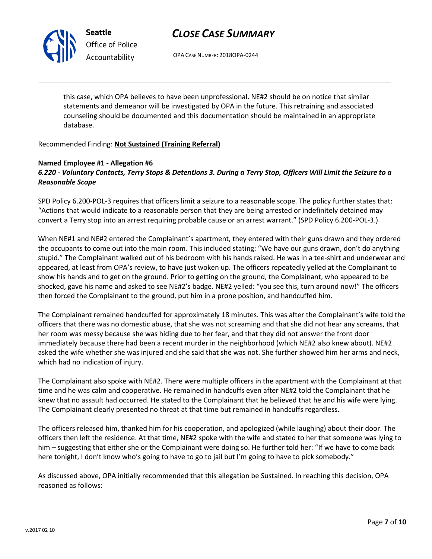

Seattle Office of Police Accountability

# CLOSE CASE SUMMARY

OPA CASE NUMBER: 2018OPA-0244

this case, which OPA believes to have been unprofessional. NE#2 should be on notice that similar statements and demeanor will be investigated by OPA in the future. This retraining and associated counseling should be documented and this documentation should be maintained in an appropriate database.

### Recommended Finding: Not Sustained (Training Referral)

### Named Employee #1 - Allegation #6 6.220 - Voluntary Contacts, Terry Stops & Detentions 3. During a Terry Stop, Officers Will Limit the Seizure to a Reasonable Scope

SPD Policy 6.200-POL-3 requires that officers limit a seizure to a reasonable scope. The policy further states that: "Actions that would indicate to a reasonable person that they are being arrested or indefinitely detained may convert a Terry stop into an arrest requiring probable cause or an arrest warrant." (SPD Policy 6.200-POL-3.)

When NE#1 and NE#2 entered the Complainant's apartment, they entered with their guns drawn and they ordered the occupants to come out into the main room. This included stating: "We have our guns drawn, don't do anything stupid." The Complainant walked out of his bedroom with his hands raised. He was in a tee-shirt and underwear and appeared, at least from OPA's review, to have just woken up. The officers repeatedly yelled at the Complainant to show his hands and to get on the ground. Prior to getting on the ground, the Complainant, who appeared to be shocked, gave his name and asked to see NE#2's badge. NE#2 yelled: "you see this, turn around now!" The officers then forced the Complainant to the ground, put him in a prone position, and handcuffed him.

The Complainant remained handcuffed for approximately 18 minutes. This was after the Complainant's wife told the officers that there was no domestic abuse, that she was not screaming and that she did not hear any screams, that her room was messy because she was hiding due to her fear, and that they did not answer the front door immediately because there had been a recent murder in the neighborhood (which NE#2 also knew about). NE#2 asked the wife whether she was injured and she said that she was not. She further showed him her arms and neck, which had no indication of injury.

The Complainant also spoke with NE#2. There were multiple officers in the apartment with the Complainant at that time and he was calm and cooperative. He remained in handcuffs even after NE#2 told the Complainant that he knew that no assault had occurred. He stated to the Complainant that he believed that he and his wife were lying. The Complainant clearly presented no threat at that time but remained in handcuffs regardless.

The officers released him, thanked him for his cooperation, and apologized (while laughing) about their door. The officers then left the residence. At that time, NE#2 spoke with the wife and stated to her that someone was lying to him – suggesting that either she or the Complainant were doing so. He further told her: "If we have to come back here tonight, I don't know who's going to have to go to jail but I'm going to have to pick somebody."

As discussed above, OPA initially recommended that this allegation be Sustained. In reaching this decision, OPA reasoned as follows: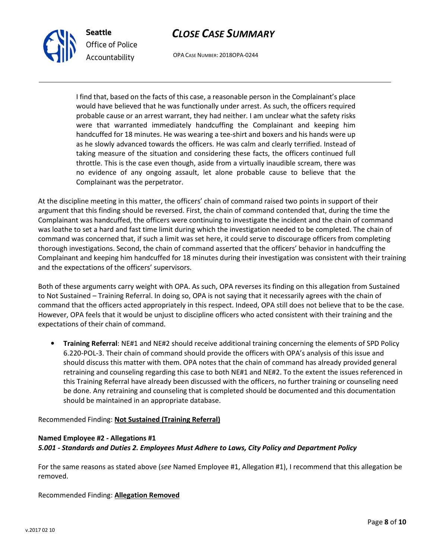



OPA CASE NUMBER: 2018OPA-0244

I find that, based on the facts of this case, a reasonable person in the Complainant's place would have believed that he was functionally under arrest. As such, the officers required probable cause or an arrest warrant, they had neither. I am unclear what the safety risks were that warranted immediately handcuffing the Complainant and keeping him handcuffed for 18 minutes. He was wearing a tee-shirt and boxers and his hands were up as he slowly advanced towards the officers. He was calm and clearly terrified. Instead of taking measure of the situation and considering these facts, the officers continued full throttle. This is the case even though, aside from a virtually inaudible scream, there was no evidence of any ongoing assault, let alone probable cause to believe that the Complainant was the perpetrator.

At the discipline meeting in this matter, the officers' chain of command raised two points in support of their argument that this finding should be reversed. First, the chain of command contended that, during the time the Complainant was handcuffed, the officers were continuing to investigate the incident and the chain of command was loathe to set a hard and fast time limit during which the investigation needed to be completed. The chain of command was concerned that, if such a limit was set here, it could serve to discourage officers from completing thorough investigations. Second, the chain of command asserted that the officers' behavior in handcuffing the Complainant and keeping him handcuffed for 18 minutes during their investigation was consistent with their training and the expectations of the officers' supervisors.

Both of these arguments carry weight with OPA. As such, OPA reverses its finding on this allegation from Sustained to Not Sustained – Training Referral. In doing so, OPA is not saying that it necessarily agrees with the chain of command that the officers acted appropriately in this respect. Indeed, OPA still does not believe that to be the case. However, OPA feels that it would be unjust to discipline officers who acted consistent with their training and the expectations of their chain of command.

• Training Referral: NE#1 and NE#2 should receive additional training concerning the elements of SPD Policy 6.220-POL-3. Their chain of command should provide the officers with OPA's analysis of this issue and should discuss this matter with them. OPA notes that the chain of command has already provided general retraining and counseling regarding this case to both NE#1 and NE#2. To the extent the issues referenced in this Training Referral have already been discussed with the officers, no further training or counseling need be done. Any retraining and counseling that is completed should be documented and this documentation should be maintained in an appropriate database.

Recommended Finding: Not Sustained (Training Referral)

### Named Employee #2 - Allegations #1 5.001 - Standards and Duties 2. Employees Must Adhere to Laws, City Policy and Department Policy

For the same reasons as stated above (see Named Employee #1, Allegation #1), I recommend that this allegation be removed.

Recommended Finding: Allegation Removed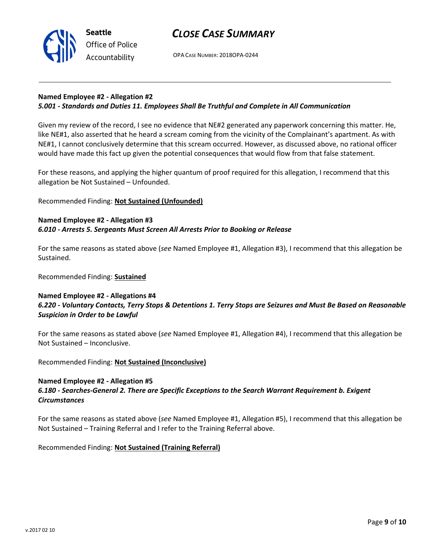

# CLOSE CASE SUMMARY

OPA CASE NUMBER: 2018OPA-0244

#### Named Employee #2 - Allegation #2 5.001 - Standards and Duties 11. Employees Shall Be Truthful and Complete in All Communication

Given my review of the record, I see no evidence that NE#2 generated any paperwork concerning this matter. He, like NE#1, also asserted that he heard a scream coming from the vicinity of the Complainant's apartment. As with NE#1, I cannot conclusively determine that this scream occurred. However, as discussed above, no rational officer would have made this fact up given the potential consequences that would flow from that false statement.

For these reasons, and applying the higher quantum of proof required for this allegation, I recommend that this allegation be Not Sustained – Unfounded.

### Recommended Finding: Not Sustained (Unfounded)

### Named Employee #2 - Allegation #3 6.010 - Arrests 5. Sergeants Must Screen All Arrests Prior to Booking or Release

For the same reasons as stated above (see Named Employee #1, Allegation #3), I recommend that this allegation be Sustained.

Recommended Finding: Sustained

### Named Employee #2 - Allegations #4 6.220 - Voluntary Contacts, Terry Stops & Detentions 1. Terry Stops are Seizures and Must Be Based on Reasonable Suspicion in Order to be Lawful

For the same reasons as stated above (see Named Employee #1, Allegation #4), I recommend that this allegation be Not Sustained – Inconclusive.

Recommended Finding: Not Sustained (Inconclusive)

### Named Employee #2 - Allegation #5

### 6.180 - Searches-General 2. There are Specific Exceptions to the Search Warrant Requirement b. Exigent **Circumstances**

For the same reasons as stated above (see Named Employee #1, Allegation #5), I recommend that this allegation be Not Sustained – Training Referral and I refer to the Training Referral above.

Recommended Finding: Not Sustained (Training Referral)